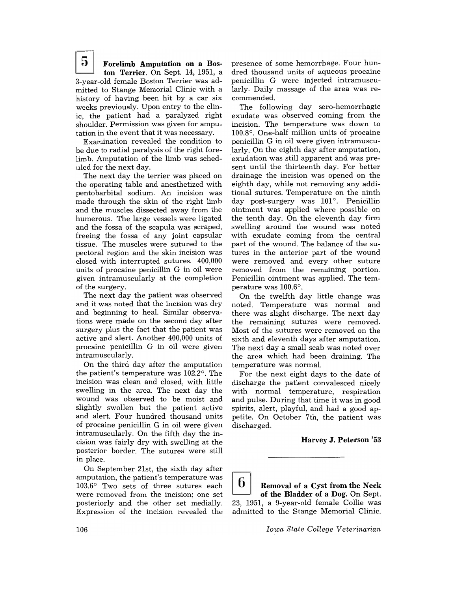$5^{\circ}$ Forelimb Amputation on a Boston Terrier. On Sept. 14, 1951, a 3-year-old female Boston Terrier was admitted to Stange Memorial Clinic with a history of having been hit by a car six weeks previously. Upon entry to the clinic, the patient had a paralyzed right shoulder. Permission was given for amputation in the event that it was necessary.

Examination revealed the condition to be due to radial paralysis of the right forelimb. Amputation of the limb was scheduled for the next day.

The next day the terrier was placed on the operating table and anesthetized with pentobarbital sodium. An incision was made through the skin of the right limb and the muscles dissected away from the humerous. The large vessels were ligated and the fossa of the scapula was scraped, freeing the fossa of any joint capsular tissue. The muscles were sutured to the pectoral region and the skin incision was closed with interrupted sutures. 400,000 units of procaine penicillin G in oil were given intramuscularly at the completion of the surgery.

The next day the patient was observed and it was noted that the incision was dry and beginning to heal. Similar observations were made on the second day after surgery plus the fact that the patient was active and alert. Another 400,000 units of procaine penicillin G in oil were given intramuscularly.

On the third day after the amputation the patient's temperature was 102.2°. The incision was clean and closed, with little swelling in the area. The next day the wound was observed to be moist and slightly swollen but the patient active and alert. Four hundred thousand units of procaine penicillin G in oil were given intramuscularly. On the fifth day the incision was fairly dry with swelling at the posterior border. The sutures were still in place.

On September 21st, the sixth day after amputation, the patient's temperature was 103.6° Two sets of three sutures each were removed from the incision; one set posteriorly and the other set medially. Expression of the incision revealed the presence of some hemorrhage. Four hundred thousand units of aqueous procaine penicillin G were injected intramuscularly. Daily massage of the area was recommended.

The following day sero-hemorrhagic exudate was observed coming from the incision. The temperature was down to 100.8°. One-half million units of procaine penicillin G in oil were given intramuscularly. On the eighth day after amputation, . exudation was still apparent and was present until the thirteenth day. For better drainage the incision was opened on the eighth day, while not removing any additional sutures. Temperature on the ninth day post-surgery was  $101^\circ$ . Penicillin ointment was applied where possible on the tenth day. On the eleventh day firm swelling around the wound was noted with exudate coming from the central part of the wound. The balance of the sutures in the anterior part of the wound were removed and every other suture removed from the remaining portion. Penicillin ointment was applied. The temperature was 100.6°.

On the twelfth day little change was noted. Temperature was normal and there was slight discharge. The next day the remaining sutures were removed. Most of the sutures were removed on the sixth and eleventh days after amputation. The next day a small scab was noted over the area which had been draining. The temperature was normal.

For the next eight days to the date of discharge the patient convalesced nicely with normal temperature, respiration and pulse. During that time it was in good spirits, alert, playful, and had a good appetite. On October 7th, the patient was discharged.

Harvey J. Peterson '53

b. Removal of a Cyst from the Neck of the Bladder of a Dog. On Sept. 23, 1951, a 9-year-old female Collie was admitted to the Stange Memorial Clinic.

*Iowa State College Veterinarian*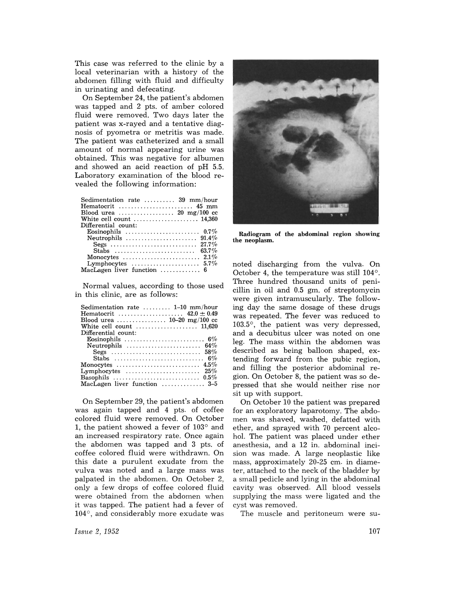This case was referred to the clinic by a local veterinarian with a history of the abdomen filling with fluid and difficulty in urinating and defecating.

On September 24, the patient's abdomen was tapped and 2 pts. of amber colored fluid were removed. Two days later the patient was x-rayed and a tentative diagnosis of pyometra or metritis was made. The patient was catheterized and a small amount of normal appearing urine was obtained. This was negative for albumen and showed an acid reaction of pH 5.5. Laboratory examination of the blood revealed the following information:

| Sedimentation rate $\dots\dots$ 39 mm/hour<br>Hematocrit  45 mm             |
|-----------------------------------------------------------------------------|
| Blood urea $\ldots \ldots \ldots \ldots \ldots$ 20 mg/100 cc                |
| White cell count $\ldots \ldots \ldots \ldots \ldots \ldots$ 14,360         |
| Differential count:                                                         |
| Eosinophils $\ldots \ldots \ldots \ldots \ldots \ldots \ldots \ldots 0.7\%$ |
| Neutrophils $\ldots \ldots \ldots \ldots \ldots \ldots \ldots$ 91.4%        |
|                                                                             |
| Stabs $\ldots \ldots \ldots \ldots \ldots \ldots \ldots \ldots$ 63.7%       |
| Monocytes $\ldots \ldots \ldots \ldots \ldots \ldots \ldots 2.1\%$          |
| Lymphocytes $\ldots \ldots \ldots \ldots \ldots \ldots 5.7\%$               |
| MacLagen liver function  6                                                  |

Normal values, according to those used in this clinic, are as follows:

| Sedimentation rate $\dots \dots$ 1-10 mm/hour<br>Blood urea  10–20 mg/100 cc |
|------------------------------------------------------------------------------|
| White cell count $\ldots \ldots \ldots \ldots \ldots \ldots 11,620$          |
| Differential count:                                                          |
|                                                                              |
| Neutrophils $\ldots \ldots \ldots \ldots \ldots \ldots \ldots 64\%$          |
| Segs $\ldots \ldots \ldots \ldots \ldots \ldots \ldots \ldots \ldots 58\%$   |
|                                                                              |
|                                                                              |
| Lymphocytes $\ldots \ldots \ldots \ldots \ldots \ldots \ldots$ 25%           |
|                                                                              |
| MacLagen liver function  3-5                                                 |

On September 29, the patient's abdomen was again tapped and 4 pts. of coffee colored fluid were removed. On October 1, the patient showed a fever of 103° and an increased respiratory rate. Once again the abdomen was tapped and 3 pts. of coffee colored fluid were withdrawn. On this date a purulent exudate from the vulva was noted and a large mass was palpated in the abdomen. On October 2, only a few drops of coffee colored fluid were obtained from the abdomen when it was tapped. The patient had a fever of 104°, and considerably more exudate was



Radiogram of the abdominal region showing the neoplasm.

noted discharging from the vulva. On October 4, the temperature was still 104°. Three hundred thousand units of penicillin in oil and 0.5 gm. of streptomycin were given intramuscularly. The following day the same dosage of these drugs was repeated. The fever was reduced to 103.5°, the patient was very depressed, and a decubitus ulcer was noted on one leg. The mass within the abdomen was described as being balloon shaped, extending forward from the pubic region, and filling the posterior abdominal region. On October 8, the patient was so depressed that she would neither rise nor sit up with support.

On October 10 the patient was prepared for an exploratory laparotomy. The abdomen was shaved, washed, defatted with ether, and sprayed with 70 percent alcohol. The patient was placed under ether anesthesia, and a 12 in. abdominal incision was made. A large neoplastic like mass, approximately 20-25 cm. in diameter, attached to the neck of the bladder by a small pedicle and lying in the abdominal cavity was observed. All blood vessels supplying the mass were ligated and the cyst was removed.

The muscle and peritoneum were su-

*Issue* 2, 1952